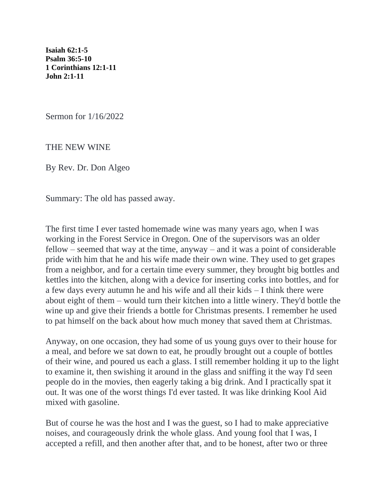**[Isaiah 62:1-5](https://lectionary.library.vanderbilt.edu/texts.php?id=108#hebrew_reading)  [Psalm 36:5-10](https://lectionary.library.vanderbilt.edu/texts.php?id=108#psalm_reading)  [1 Corinthians 12:1-11](https://lectionary.library.vanderbilt.edu/texts.php?id=108#epistle_reading)  [John 2:1-11](https://lectionary.library.vanderbilt.edu/texts.php?id=108#gospel_reading)**

Sermon for 1/16/2022

THE NEW WINE

By Rev. Dr. Don Algeo

Summary: The old has passed away.

The first time I ever tasted homemade wine was many years ago, when I was working in the Forest Service in Oregon. One of the supervisors was an older fellow – seemed that way at the time, anyway – and it was a point of considerable pride with him that he and his wife made their own wine. They used to get grapes from a neighbor, and for a certain time every summer, they brought big bottles and kettles into the kitchen, along with a device for inserting corks into bottles, and for a few days every autumn he and his wife and all their kids – I think there were about eight of them – would turn their kitchen into a little winery. They'd bottle the wine up and give their friends a bottle for Christmas presents. I remember he used to pat himself on the back about how much money that saved them at Christmas.

Anyway, on one occasion, they had some of us young guys over to their house for a meal, and before we sat down to eat, he proudly brought out a couple of bottles of their wine, and poured us each a glass. I still remember holding it up to the light to examine it, then swishing it around in the glass and sniffing it the way I'd seen people do in the movies, then eagerly taking a big drink. And I practically spat it out. It was one of the worst things I'd ever tasted. It was like drinking Kool Aid mixed with gasoline.

But of course he was the host and I was the guest, so I had to make appreciative noises, and courageously drink the whole glass. And young fool that I was, I accepted a refill, and then another after that, and to be honest, after two or three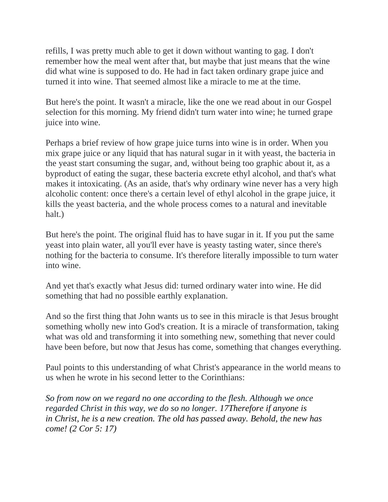refills, I was pretty much able to get it down without wanting to gag. I don't remember how the meal went after that, but maybe that just means that the wine did what wine is supposed to do. He had in fact taken ordinary grape juice and turned it into wine. That seemed almost like a miracle to me at the time.

But here's the point. It wasn't a miracle, like the one we read about in our Gospel selection for this morning. My friend didn't turn water into wine; he turned grape juice into wine.

Perhaps a brief review of how grape juice turns into wine is in order. When you mix grape juice or any liquid that has natural sugar in it with yeast, the bacteria in the yeast start consuming the sugar, and, without being too graphic about it, as a byproduct of eating the sugar, these bacteria excrete ethyl alcohol, and that's what makes it intoxicating. (As an aside, that's why ordinary wine never has a very high alcoholic content: once there's a certain level of ethyl alcohol in the grape juice, it kills the yeast bacteria, and the whole process comes to a natural and inevitable halt.)

But here's the point. The original fluid has to have sugar in it. If you put the same yeast into plain water, all you'll ever have is yeasty tasting water, since there's nothing for the bacteria to consume. It's therefore literally impossible to turn water into wine.

And yet that's exactly what Jesus did: turned ordinary water into wine. He did something that had no possible earthly explanation.

And so the first thing that John wants us to see in this miracle is that Jesus brought something wholly new into God's creation. It is a miracle of transformation, taking what was old and transforming it into something new, something that never could have been before, but now that Jesus has come, something that changes everything.

Paul points to this understanding of what Christ's appearance in the world means to us when he wrote in his second letter to the Corinthians:

*So from now on we regard no one according to the flesh. Although we once regarded Christ in this way, we do so no longer. 1[7Therefore](https://biblehub.com/greek/5620.htm) [if](https://biblehub.com/greek/1487.htm) [anyone](https://biblehub.com/greek/5100.htm) [is](https://biblehub.com/greek/1722.htm)  [in](https://biblehub.com/greek/1722.htm) [Christ,](https://biblehub.com/greek/5547.htm) [he is a new](https://biblehub.com/greek/2537.htm) [creation.](https://biblehub.com/greek/2937.htm) [The](https://biblehub.com/greek/3588.htm) [old](https://biblehub.com/greek/744.htm) [has passed away.](https://biblehub.com/greek/3928.htm) [Behold,](https://biblehub.com/greek/2400.htm) [the new](https://biblehub.com/greek/2537.htm) [has](https://biblehub.com/greek/1096.htm)  [come!](https://biblehub.com/greek/1096.htm) (2 Cor 5: 17)*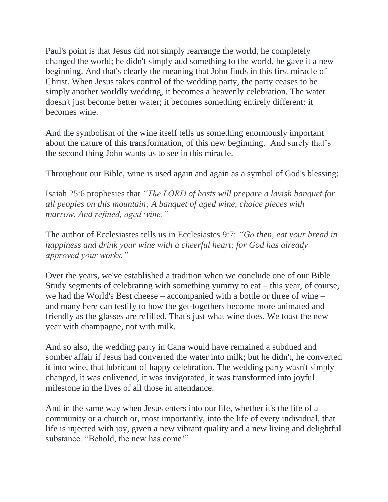Paul's point is that Jesus did not simply rearrange the world, he completely changed the world; he didn't simply add something to the world, he gave it a new beginning. And that's clearly the meaning that John finds in this first miracle of Christ. When Jesus takes control of the wedding party, the party ceases to be simply another worldly wedding, it becomes a heavenly celebration. The water doesn't just become better water; it becomes something entirely different: it becomes wine.

And the symbolism of the wine itself tells us something enormously important about the nature of this transformation, of this new beginning. And surely that's the second thing John wants us to see in this miracle.

Throughout our Bible, wine is used again and again as a symbol of God's blessing:

Isaiah 25:6 prophesies that *"The LORD of hosts will prepare a lavish banquet for all peoples on this mountain; A banquet of aged wine, choice pieces with marrow, And refined, aged wine."*

The author of Ecclesiastes tells us in Ecclesiastes 9:7: *"Go then, eat your bread in happiness and drink your wine with a cheerful heart; for God has already approved your works."*

Over the years, we've established a tradition when we conclude one of our Bible Study segments of celebrating with something yummy to eat – this year, of course, we had the World's Best cheese – accompanied with a bottle or three of wine – and many here can testify to how the get-togethers become more animated and friendly as the glasses are refilled. That's just what wine does. We toast the new year with champagne, not with milk.

And so also, the wedding party in Cana would have remained a subdued and somber affair if Jesus had converted the water into milk; but he didn't, he converted it into wine, that lubricant of happy celebration. The wedding party wasn't simply changed, it was enlivened, it was invigorated, it was transformed into joyful milestone in the lives of all those in attendance.

And in the same way when Jesus enters into our life, whether it's the life of a community or a church or, most importantly, into the life of every individual, that life is injected with joy, given a new vibrant quality and a new living and delightful substance. "Behold, the new has come!"